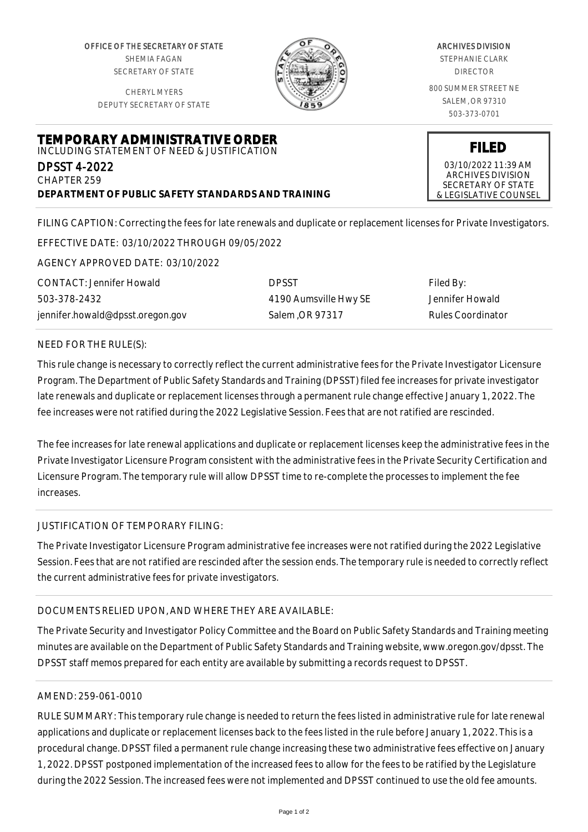OFFICE OF THE SECRETARY OF STATE SHEMIA FAGAN SECRETARY OF STATE

CHERYL MYERS DEPUTY SECRETARY OF STATE



#### ARCHIVES DIVISION STEPHANIE CLARK

DIRECTOR

800 SUMMER STREET NE SALEM, OR 97310 503-373-0701

**FILED** 03/10/2022 11:39 AM ARCHIVES DIVISION SECRETARY OF STATE & LEGISLATIVE COUNSEL

**TEMPORARY ADMINISTRATIVE ORDER** INCLUDING STATEMENT OF NEED & JUSTIFICATION

DPSST 4-2022 CHAPTER 259

**DEPARTMENT OF PUBLIC SAFETY STANDARDS AND TRAINING**

FILING CAPTION: Correcting the fees for late renewals and duplicate or replacement licenses for Private Investigators.

EFFECTIVE DATE: 03/10/2022 THROUGH 09/05/2022

AGENCY APPROVED DATE: 03/10/2022

CONTACT: Jennifer Howald 503-378-2432 jennifer.howald@dpsst.oregon.gov DPSST 4190 Aumsville Hwy SE Salem ,OR 97317

Filed By: Jennifer Howald Rules Coordinator

## NEED FOR THE RULE(S):

This rule change is necessary to correctly reflect the current administrative fees for the Private Investigator Licensure Program. The Department of Public Safety Standards and Training (DPSST) filed fee increases for private investigator late renewals and duplicate or replacement licenses through a permanent rule change effective January 1, 2022. The fee increases were not ratified during the 2022 Legislative Session. Fees that are not ratified are rescinded.

The fee increases for late renewal applications and duplicate or replacement licenses keep the administrative fees in the Private Investigator Licensure Program consistent with the administrative fees in the Private Security Certification and Licensure Program. The temporary rule will allow DPSST time to re-complete the processes to implement the fee increases.

### JUSTIFICATION OF TEMPORARY FILING:

The Private Investigator Licensure Program administrative fee increases were not ratified during the 2022 Legislative Session. Fees that are not ratified are rescinded after the session ends. The temporary rule is needed to correctly reflect the current administrative fees for private investigators.

# DOCUMENTS RELIED UPON, AND WHERE THEY ARE AVAILABLE:

The Private Security and Investigator Policy Committee and the Board on Public Safety Standards and Training meeting minutes are available on the Department of Public Safety Standards and Training website, www.oregon.gov/dpsst. The DPSST staff memos prepared for each entity are available by submitting a records request to DPSST.

# AMEND: 259-061-0010

RULE SUMMARY: This temporary rule change is needed to return the fees listed in administrative rule for late renewal applications and duplicate or replacement licenses back to the fees listed in the rule before January 1, 2022. This is a procedural change. DPSST filed a permanent rule change increasing these two administrative fees effective on January 1, 2022. DPSST postponed implementation of the increased fees to allow for the fees to be ratified by the Legislature during the 2022 Session. The increased fees were not implemented and DPSST continued to use the old fee amounts.